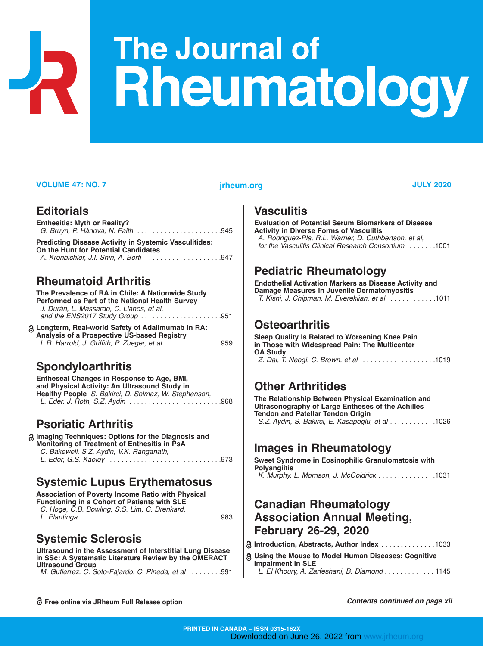# **The Journal of Rheumatology**

#### **VOLUME 47: NO. 7 JULY 2020 jrheum.org**

#### **Editorials**

| <b>Enthesitis: Myth or Reality?</b>                                                                  |  |  |  |  |  |
|------------------------------------------------------------------------------------------------------|--|--|--|--|--|
| <b>Predicting Disease Activity in Systemic Vasculitides:</b><br>On the Hunt for Potential Candidates |  |  |  |  |  |

# *A. Kronbichler, J.I. Shin, A. Berti . . . . . . . . . . . . . . . . . . .*947

### **Rheumatoid Arthritis**

**The Prevalence of RA in Chile: A Nationwide Study Performed as Part of the National Health Survey** *J. Durán, L. Massardo, C. Llanos, et al, and the ENS2017 Study Group . . . . . . . . . . . . . . . . . . . . .*951

**Longterm, Real-world Safety of Adalimumab in RA: Analysis of a Prospective US-based Registry** *L.R. Harrold, J. Griffith, P. Zueger, et al . . . . . . . . . . . . . . .*959

# **Spondyloarthritis**

**Entheseal Changes in Response to Age, BMI, and Physical Activity: An Ultrasound Study in Healthy People**  *S. Bakirci, D. Solmaz, W. Stephenson, L. Eder, J. Roth, S.Z. Aydin . . . . . . . . . . . . . . . . . . . . . . . .*968

# **Psoriatic Arthritis**

| <b>a Imaging Techniques: Options for the Diagnosis and</b><br>Monitoring of Treatment of Enthesitis in PsA |  |
|------------------------------------------------------------------------------------------------------------|--|
| C. Bakewell, S.Z. Aydin, V.K. Ranganath,                                                                   |  |
|                                                                                                            |  |

### **Systemic Lupus Erythematosus**

**Association of Poverty Income Ratio with Physical Functioning in a Cohort of Patients with SLE** *C. Hoge, C.B. Bowling, S.S. Lim, C. Drenkard, L. Plantinga . . . . . . . . . . . . . . . . . . . . . . . . . . . . . . . . . . . .*983

# **Systemic Sclerosis**

**Ultrasound in the Assessment of Interstitial Lung Disease in SSc: A Systematic Literature Review by the OMERACT Ultrasound Group** *M. Gutierrez, C. Soto-Fajardo, C. Pineda, et al . . . . . . . .*991

#### **Vasculitis**

**Evaluation of Potential Serum Biomarkers of Disease Activity in Diverse Forms of Vasculitis** *A. Rodriguez-Pla, R.L. Warner, D. Cuthbertson, et al, for the Vasculitis Clinical Research Consortium . . . . . . .*1001

## **Pediatric Rheumatology**

**Endothelial Activation Markers as Disease Activity and Damage Measures in Juvenile Dermatomyositis** *T. Kishi, J. Chipman, M. Evereklian, et al . . . . . . . . . . . .*1011

#### **Osteoarthritis**

**Sleep Quality Is Related to Worsening Knee Pain in Those with Widespread Pain: The Multicenter OA Study**  *Z. Dai, T. Neogi, C. Brown, et al . . . . . . . . . . . . . . . . . . .*1019

# **Other Arthritides**

**The Relationship Between Physical Examination and Ultrasonography of Large Entheses of the Achilles Tendon and Patellar Tendon Origin** *S.Z. Aydin, S. Bakirci, E. Kasapoglu, et al . . . . . . . . . . . .*1026

# **Images in Rheumatology**

**Sweet Syndrome in Eosinophilic Granulomatosis with Polyangiitis** *K. Murphy, L. Morrison, J. McGoldrick . . . . . . . . . . . . . . .*1031

### **Canadian Rheumatology Association Annual Meeting, February 26-29, 2020**

|  | <mark>ි</mark> Introduction, Abstracts, Author Index 1033 |  |  |  |  |  |  |  |  |  |  |  |  |  |  |
|--|-----------------------------------------------------------|--|--|--|--|--|--|--|--|--|--|--|--|--|--|
|--|-----------------------------------------------------------|--|--|--|--|--|--|--|--|--|--|--|--|--|--|

**Using the Mouse to Model Human Diseases: Cognitive Impairment in SLE** *L. El Khoury, A. Zarfeshani, B. Diamond . . . . . . . . . . . . .* 1145

**Free online via JRheum Full Release option**

*Contents continued on page xii*